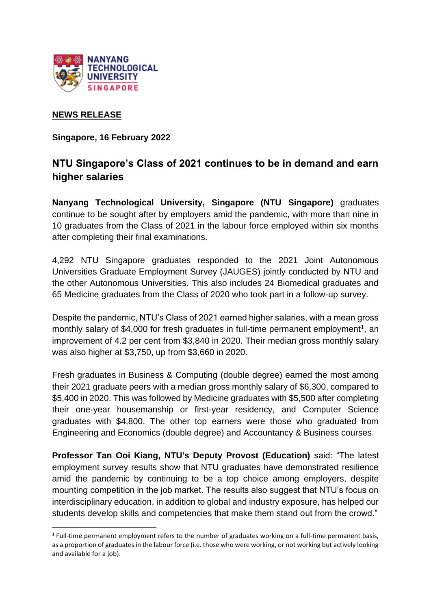

## **NEWS RELEASE**

**Singapore, 16 February 2022** 

# **NTU Singapore's Class of 2021 continues to be in demand and earn higher salaries**

**Nanyang Technological University, Singapore (NTU Singapore)** graduates continue to be sought after by employers amid the pandemic, with more than nine in 10 graduates from the Class of 2021 in the labour force employed within six months after completing their final examinations.

4,292 NTU Singapore graduates responded to the 2021 Joint Autonomous Universities Graduate Employment Survey (JAUGES) jointly conducted by NTU and the other Autonomous Universities. This also includes 24 Biomedical graduates and 65 Medicine graduates from the Class of 2020 who took part in a follow-up survey.

Despite the pandemic, NTU's Class of 2021 earned higher salaries, with a mean gross monthly salary of \$4,000 for fresh graduates in full-time permanent employment<sup>1</sup>, an improvement of 4.2 per cent from \$3,840 in 2020. Their median gross monthly salary was also higher at \$3,750, up from \$3,660 in 2020.

Fresh graduates in Business & Computing (double degree) earned the most among their 2021 graduate peers with a median gross monthly salary of \$6,300, compared to \$5,400 in 2020. This was followed by Medicine graduates with \$5,500 after completing their one-year housemanship or first-year residency, and Computer Science graduates with \$4,800. The other top earners were those who graduated from Engineering and Economics (double degree) and Accountancy & Business courses.

**Professor Tan Ooi Kiang, NTU's Deputy Provost (Education)** said: "The latest employment survey results show that NTU graduates have demonstrated resilience amid the pandemic by continuing to be a top choice among employers, despite mounting competition in the job market. The results also suggest that NTU's focus on interdisciplinary education, in addition to global and industry exposure, has helped our students develop skills and competencies that make them stand out from the crowd."

<sup>&</sup>lt;sup>1</sup> Full-time permanent employment refers to the number of graduates working on a full-time permanent basis, as a proportion of graduates in the labour force (i.e. those who were working, or not working but actively looking and available for a job).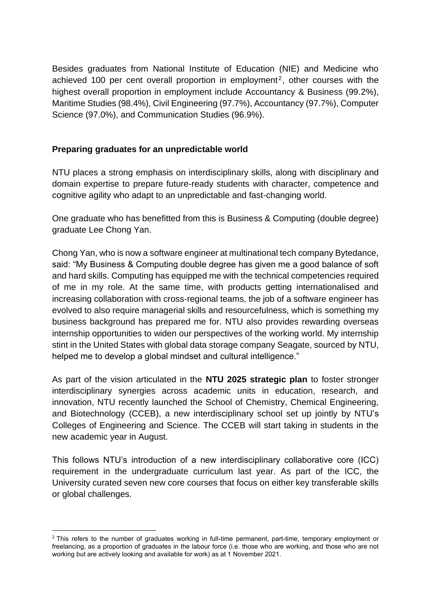Besides graduates from National Institute of Education (NIE) and Medicine who achieved 100 per cent overall proportion in employment<sup>2</sup>, other courses with the highest overall proportion in employment include Accountancy & Business (99.2%), Maritime Studies (98.4%), Civil Engineering (97.7%), Accountancy (97.7%), Computer Science (97.0%), and Communication Studies (96.9%).

## **Preparing graduates for an unpredictable world**

NTU places a strong emphasis on interdisciplinary skills, along with disciplinary and domain expertise to prepare future-ready students with character, competence and cognitive agility who adapt to an unpredictable and fast-changing world.

One graduate who has benefitted from this is Business & Computing (double degree) graduate Lee Chong Yan.

Chong Yan, who is now a software engineer at multinational tech company Bytedance, said: "My Business & Computing double degree has given me a good balance of soft and hard skills. Computing has equipped me with the technical competencies required of me in my role. At the same time, with products getting internationalised and increasing collaboration with cross-regional teams, the job of a software engineer has evolved to also require managerial skills and resourcefulness, which is something my business background has prepared me for. NTU also provides rewarding overseas internship opportunities to widen our perspectives of the working world. My internship stint in the United States with global data storage company Seagate, sourced by NTU, helped me to develop a global mindset and cultural intelligence."

As part of the vision articulated in the **NTU 2025 strategic plan** to foster stronger interdisciplinary synergies across academic units in education, research, and innovation, NTU recently launched the School of Chemistry, Chemical Engineering, and Biotechnology (CCEB), a new interdisciplinary school set up jointly by NTU's Colleges of Engineering and Science. The CCEB will start taking in students in the new academic year in August.

This follows NTU's introduction of a new interdisciplinary collaborative core (ICC) requirement in the undergraduate curriculum last year. As part of the ICC, the University curated seven new core courses that focus on either key transferable skills or global challenges.

<sup>&</sup>lt;sup>2</sup> This refers to the number of graduates working in full-time permanent, part-time, temporary employment or freelancing, as a proportion of graduates in the labour force (i.e. those who are working, and those who are not working but are actively looking and available for work) as at 1 November 2021.